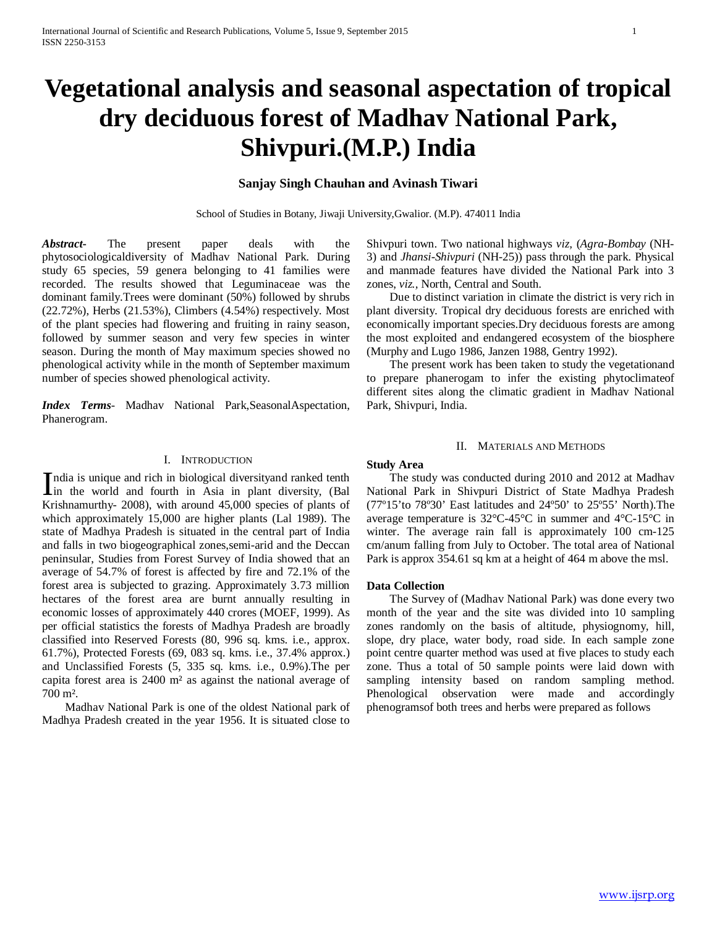# **Vegetational analysis and seasonal aspectation of tropical dry deciduous forest of Madhav National Park, Shivpuri.(M.P.) India**

## **Sanjay Singh Chauhan and Avinash Tiwari**

School of Studies in Botany, Jiwaji University,Gwalior. (M.P). 474011 India

*Abstract***-** The present paper deals with the phytosociologicaldiversity of Madhav National Park. During study 65 species, 59 genera belonging to 41 families were recorded. The results showed that Leguminaceae was the dominant family.Trees were dominant (50%) followed by shrubs (22.72%), Herbs (21.53%), Climbers (4.54%) respectively. Most of the plant species had flowering and fruiting in rainy season, followed by summer season and very few species in winter season. During the month of May maximum species showed no phenological activity while in the month of September maximum number of species showed phenological activity.

*Index Terms*- Madhav National Park,SeasonalAspectation, Phanerogram.

### I. INTRODUCTION

ndia is unique and rich in biological diversityand ranked tenth India is unique and rich in biological diversity<br>and ranked tenth in the world and fourth in Asia in plant diversity, (Bal<br> $V_{\text{L}}$ ) and  $V_{\text{L}}$  (1) and  $V_{\text{L}}$  (1) and  $V_{\text{L}}$  (1) and  $V_{\text{L}}$  (1) and  $V_{\text{L}}$  ( Krishnamurthy- 2008), with around 45,000 species of plants of which approximately 15,000 are higher plants (Lal 1989). The state of Madhya Pradesh is situated in the central part of India and falls in two biogeographical zones,semi-arid and the Deccan peninsular, Studies from Forest Survey of India showed that an average of 54.7% of forest is affected by fire and 72.1% of the forest area is subjected to grazing. Approximately 3.73 million hectares of the forest area are burnt annually resulting in economic losses of approximately 440 crores (MOEF, 1999). As per official statistics the forests of Madhya Pradesh are broadly classified into Reserved Forests (80, 996 sq. kms. i.e., approx. 61.7%), Protected Forests (69, 083 sq. kms. i.e., 37.4% approx.) and Unclassified Forests (5, 335 sq. kms. i.e., 0.9%).The per capita forest area is 2400 m² as against the national average of 700 m².

 Madhav National Park is one of the oldest National park of Madhya Pradesh created in the year 1956. It is situated close to

Shivpuri town. Two national highways *viz,* (*Agra*-*Bombay* (NH-3) and *Jhansi-Shivpuri* (NH-25)) pass through the park. Physical and manmade features have divided the National Park into 3 zones, *viz.,* North, Central and South.

 Due to distinct variation in climate the district is very rich in plant diversity. Tropical dry deciduous forests are enriched with economically important species.Dry deciduous forests are among the most exploited and endangered ecosystem of the biosphere (Murphy and Lugo 1986, Janzen 1988, Gentry 1992).

 The present work has been taken to study the vegetationand to prepare phanerogam to infer the existing phytoclimateof different sites along the climatic gradient in Madhav National Park, Shivpuri, India.

## II. MATERIALS AND METHODS

## **Study Area**

 The study was conducted during 2010 and 2012 at Madhav National Park in Shivpuri District of State Madhya Pradesh (77º15'to 78º30' East latitudes and 24º50' to 25º55' North).The average temperature is 32°C-45°C in summer and 4°C-15°C in winter. The average rain fall is approximately 100 cm-125 cm/anum falling from July to October. The total area of National Park is approx 354.61 sq km at a height of 464 m above the msl.

#### **Data Collection**

 The Survey of (Madhav National Park) was done every two month of the year and the site was divided into 10 sampling zones randomly on the basis of altitude, physiognomy, hill, slope, dry place, water body, road side. In each sample zone point centre quarter method was used at five places to study each zone. Thus a total of 50 sample points were laid down with sampling intensity based on random sampling method. Phenological observation were made and accordingly phenogramsof both trees and herbs were prepared as follows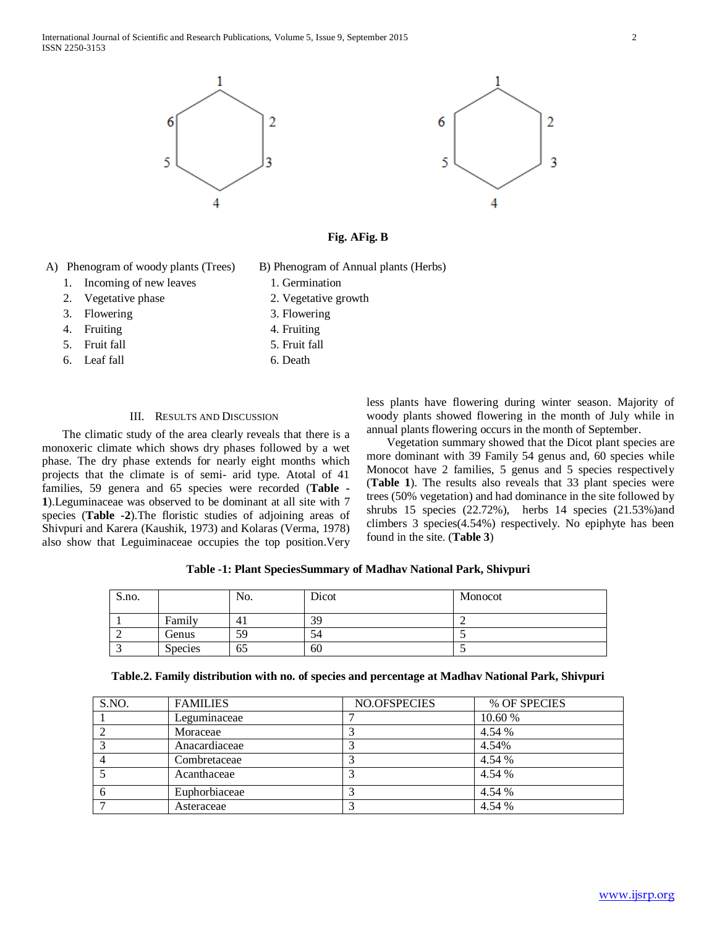International Journal of Scientific and Research Publications, Volume 5, Issue 9, September 2015 2 ISSN 2250-3153





- A) Phenogram of woody plants (Trees) B) Phenogram of Annual plants (Herbs)
	- 1. Incoming of new leaves 1. Germination
	- 2. Vegetative phase 2. Vegetative growth
	- 3. Flowering 3. Flowering
		-
	- 4. Fruiting 4. Fruiting 4. Fruiting 4. Fruiting 4. Fruiting 4. Fruiting 4. Fruiting 4. Fruiting 4. Fruiting 4. Fruiting 4. Fruiting 4. Fruiting 4. Fruiting 4. Fruiting 4. Fruiting 4. Fruiting 4. Fruiting 4. Fruiting 4. Fru
		-
	- 5. Fruit fall 5. Fruit fall
	- 6. Leaf fall 6. Death

## III. RESULTS AND DISCUSSION

 The climatic study of the area clearly reveals that there is a monoxeric climate which shows dry phases followed by a wet phase. The dry phase extends for nearly eight months which projects that the climate is of semi- arid type. Atotal of 41 families, 59 genera and 65 species were recorded (**Table - 1**).Leguminaceae was observed to be dominant at all site with 7 species (**Table -2**).The floristic studies of adjoining areas of Shivpuri and Karera (Kaushik, 1973) and Kolaras (Verma, 1978) also show that Leguiminaceae occupies the top position.Very less plants have flowering during winter season. Majority of woody plants showed flowering in the month of July while in annual plants flowering occurs in the month of September.

 Vegetation summary showed that the Dicot plant species are more dominant with 39 Family 54 genus and, 60 species while Monocot have 2 families, 5 genus and 5 species respectively (**Table 1**). The results also reveals that 33 plant species were trees (50% vegetation) and had dominance in the site followed by shrubs 15 species (22.72%), herbs 14 species (21.53%)and climbers 3 species(4.54%) respectively. No epiphyte has been found in the site. (**Table 3**)

| Table -1: Plant SpeciesSummary of Madhav National Park, Shivpuri |  |  |
|------------------------------------------------------------------|--|--|
|------------------------------------------------------------------|--|--|

| S.no. |                | No.            | Dicot | Monocot |
|-------|----------------|----------------|-------|---------|
|       | Family         | 4 <sub>1</sub> | 39    |         |
|       | Genus          | 59             | 54    |         |
|       | <b>Species</b> | 65             | 60    |         |

|  | Table.2. Family distribution with no. of species and percentage at Madhav National Park, Shivpuri |  |
|--|---------------------------------------------------------------------------------------------------|--|
|  |                                                                                                   |  |

| S.NO. | <b>FAMILIES</b> | NO.OFSPECIES | % OF SPECIES |
|-------|-----------------|--------------|--------------|
|       | Leguminaceae    |              | 10.60 %      |
|       | Moraceae        |              | 4.54 %       |
|       | Anacardiaceae   |              | 4.54%        |
|       | Combretaceae    |              | 4.54 %       |
|       | Acanthaceae     |              | 4.54 %       |
|       | Euphorbiaceae   |              | 4.54 %       |
|       | Asteraceae      |              | 4.54 %       |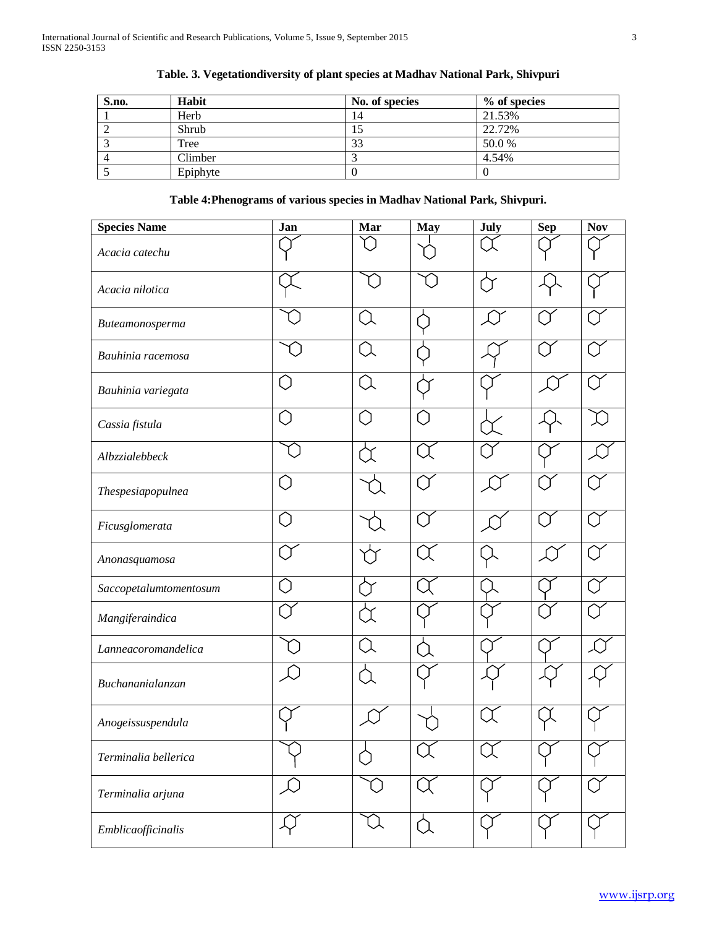| S.no. | Habit    | No. of species | % of species |
|-------|----------|----------------|--------------|
|       | Herb     | 14             | 21.53%       |
|       | Shrub    | 15             | 22.72%       |
|       | Tree     | 33             | 50.0%        |
|       | Climber  |                | 4.54%        |
|       | Epiphyte |                |              |

# **Table. 3. Vegetationdiversity of plant species at Madhav National Park, Shivpuri**

# **Table 4:Phenograms of various species in Madhav National Park, Shivpuri.**

| <b>Species Name</b>    | Jan | Mar                                                        | <b>May</b> | July | <b>Sep</b> | <b>Nov</b> |
|------------------------|-----|------------------------------------------------------------|------------|------|------------|------------|
| Acacia catechu         |     |                                                            |            |      |            |            |
| Acacia nilotica        |     |                                                            |            |      |            |            |
| Buteamonosperma        |     | 〔〕                                                         |            |      |            |            |
| Bauhinia racemosa      |     |                                                            |            |      |            |            |
| Bauhinia variegata     |     | ์ โ                                                        |            |      |            |            |
| Cassia fistula         |     | $\left(\begin{smallmatrix} \cdot \end{smallmatrix}\right)$ |            |      |            |            |
| Albzzialebbeck         |     |                                                            |            |      |            |            |
| Thespesiapopulnea      |     |                                                            |            |      |            |            |
| Ficusglomerata         |     |                                                            |            |      |            |            |
| Anonasquamosa          |     |                                                            |            |      |            |            |
| Saccopetalumtomentosum |     |                                                            |            |      |            |            |
| Mangiferaindica        |     |                                                            |            |      |            |            |
| Lanneacoromandelica    |     |                                                            |            |      |            |            |
| Buchananialanzan       |     |                                                            |            |      |            |            |
| Anogeissuspendula      |     |                                                            |            |      |            |            |
| Terminalia bellerica   |     |                                                            |            |      |            |            |
| Terminalia arjuna      |     |                                                            |            |      |            |            |
| Emblicaofficinalis     |     |                                                            | ∩          |      |            |            |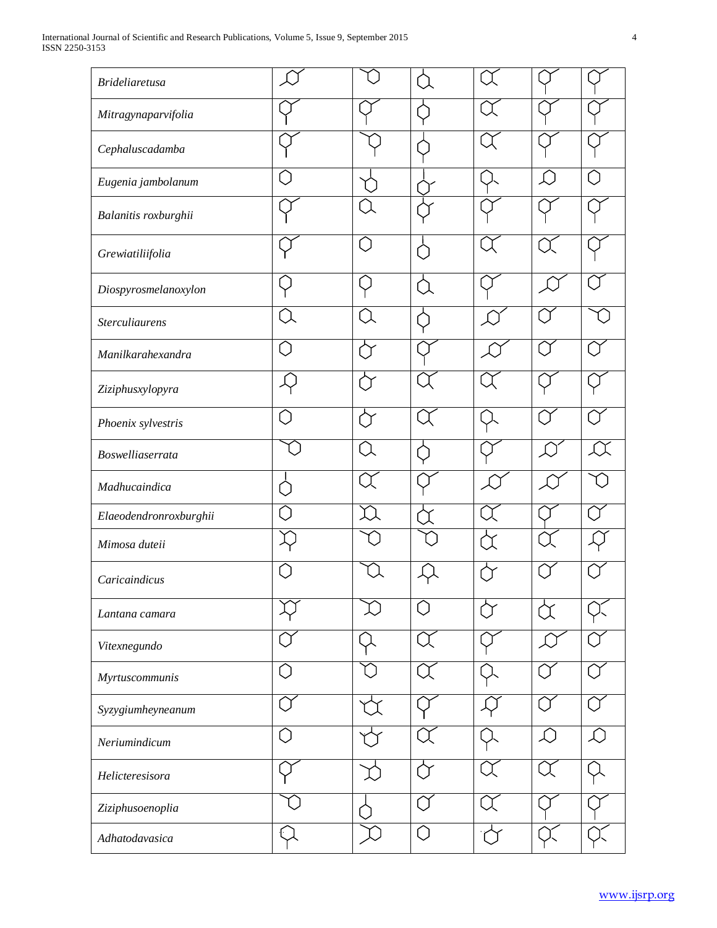| <b>Brideliaretusa</b>  |   |                     |                                                           |            |
|------------------------|---|---------------------|-----------------------------------------------------------|------------|
| Mitragynaparvifolia    |   |                     |                                                           |            |
| Cephaluscadamba        |   |                     |                                                           |            |
| Eugenia jambolanum     |   |                     | $\left(\begin{smallmatrix} 1\\ 1\end{smallmatrix}\right)$ |            |
| Balanitis roxburghii   |   |                     |                                                           |            |
| Grewiatiliifolia       | ◯ |                     |                                                           |            |
| Diospyrosmelanoxylon   |   |                     |                                                           |            |
| <b>Sterculiaurens</b>  |   |                     |                                                           |            |
| Manilkarahexandra      |   |                     |                                                           |            |
| Ziziphusxylopyra       |   |                     |                                                           |            |
| Phoenix sylvestris     |   |                     |                                                           |            |
| Boswelliaserrata       |   |                     |                                                           |            |
| Madhucaindica          |   |                     |                                                           |            |
| Elaeodendronroxburghii |   |                     |                                                           |            |
| Mimosa duteii          |   |                     |                                                           |            |
| Caricaindicus          |   |                     |                                                           |            |
| Lantana camara         |   | $\hat{\phantom{1}}$ |                                                           |            |
| Vitexnegundo           |   |                     |                                                           |            |
| Myrtuscommunis         |   |                     |                                                           |            |
| Syzygiumheyneanum      |   |                     |                                                           |            |
| Neriumindicum          |   |                     | L)                                                        | $\int_0^1$ |
| Helicteresisora        |   |                     | ี่ โ                                                      |            |
| Ziziphusoenoplia       |   |                     |                                                           |            |
| Adhatodavasica         |   | 〔 〕                 |                                                           |            |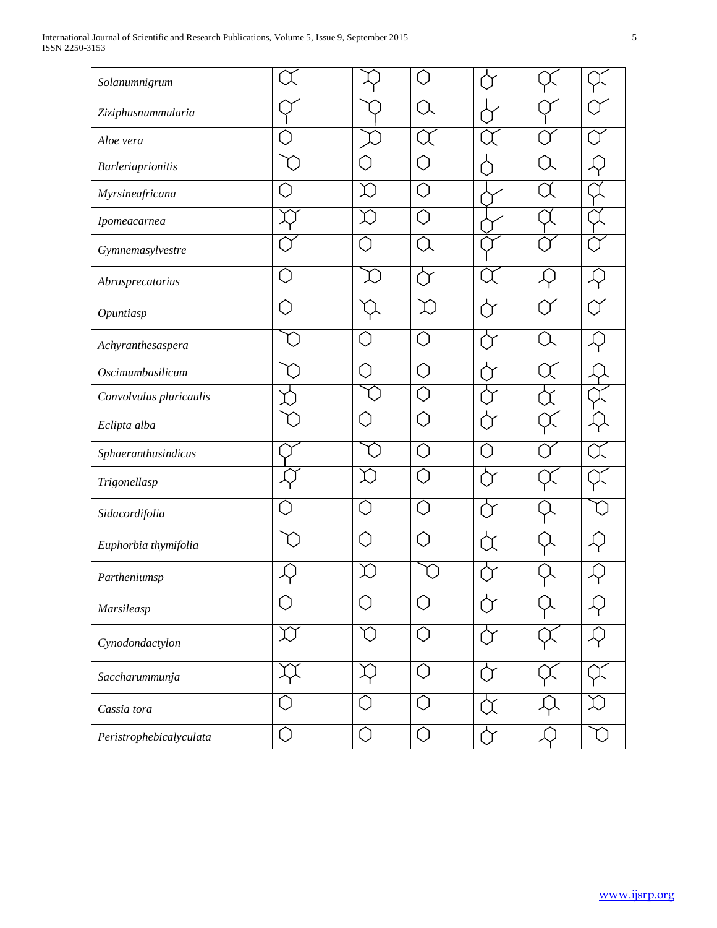| Solanumnigrum            |                                                          |                   | Ú             |   |  |
|--------------------------|----------------------------------------------------------|-------------------|---------------|---|--|
| Ziziphusnummularia       |                                                          |                   | $\bigcap$     |   |  |
| Aloe vera                |                                                          |                   |               |   |  |
| <b>Barleriaprionitis</b> |                                                          |                   | 〔             |   |  |
| Myrsineafricana          |                                                          |                   | C             |   |  |
| Ipomeacarnea             |                                                          |                   | 〔             |   |  |
| Gymnemasylvestre         |                                                          |                   | $\mathcal{L}$ |   |  |
| Abrusprecatorius         |                                                          |                   |               |   |  |
| Opuntiasp                |                                                          |                   |               |   |  |
| Achyranthesaspera        |                                                          |                   | C             |   |  |
| Oscimumbasilicum         |                                                          | $\tilde{a}$       | C             |   |  |
| Convolvulus pluricaulis  |                                                          |                   | C             |   |  |
| Eclipta alba             |                                                          |                   | C             |   |  |
| Sphaeranthusindicus      |                                                          |                   | C             |   |  |
| Trigonellasp             |                                                          |                   | C             |   |  |
| Sidacordifolia           |                                                          | $\tilde{a}$       | C             |   |  |
| Euphorbia thymifolia     |                                                          | 7                 | C             |   |  |
| Partheniumsp             |                                                          |                   |               |   |  |
| Marsileasp               |                                                          | r i               | ſ.            |   |  |
| Cynodondactylon          |                                                          | ា                 | Ô             |   |  |
| Saccharummunja           |                                                          |                   | Ô             | ∩ |  |
| Cassia tora              | $\left(\begin{smallmatrix} 1\\1\end{smallmatrix}\right)$ | $\left(\ \right)$ | $\bigcirc$    |   |  |
| Peristrophebicalyculata  | 0                                                        | O                 | O             | ∩ |  |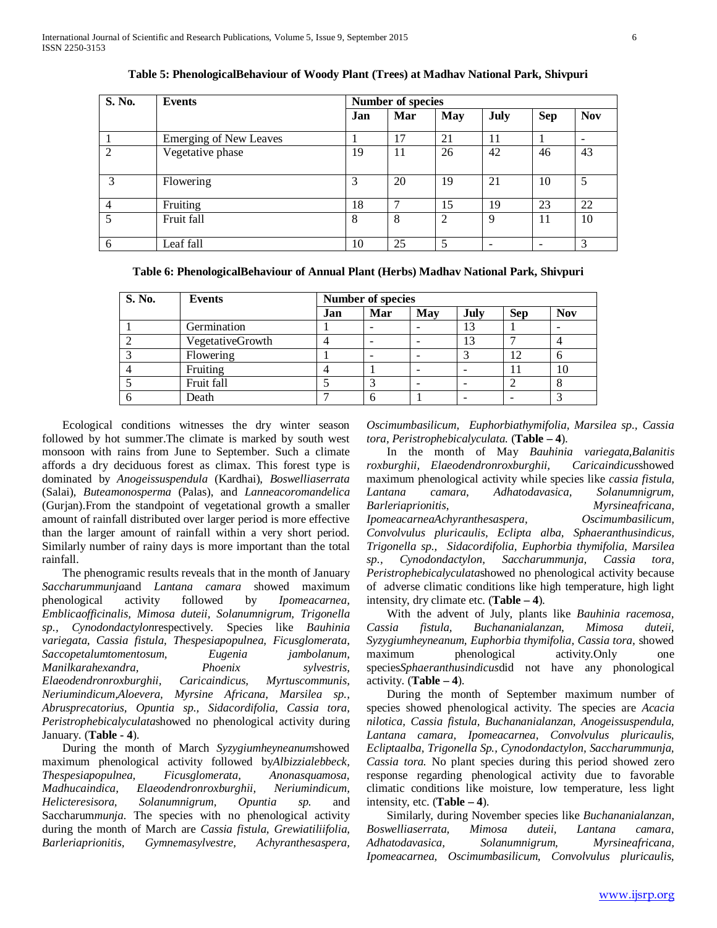| S. No.         | Events                        |     | <b>Number of species</b> |            |      |            | <b>Nov</b> |  |  |  |  |
|----------------|-------------------------------|-----|--------------------------|------------|------|------------|------------|--|--|--|--|
|                |                               | Jan | Mar                      | <b>May</b> | July | <b>Sep</b> |            |  |  |  |  |
|                | <b>Emerging of New Leaves</b> |     | 17                       | 21         | 11   |            |            |  |  |  |  |
| 2              | Vegetative phase              | 19  | 11                       | 26         | 42   | 46         | 43         |  |  |  |  |
| 3              | Flowering                     | 3   | 20                       | 19         | 21   | 10         | 5          |  |  |  |  |
| $\overline{4}$ | Fruiting                      | 18  | ⇁                        | 15         | 19   | 23         | 22         |  |  |  |  |
| 5              | Fruit fall                    | 8   | 8                        | 2          | 9    | 11         | 10         |  |  |  |  |
| 6              | Leaf fall                     | 10  | 25                       | 5          |      |            | 3          |  |  |  |  |

**Table 5: PhenologicalBehaviour of Woody Plant (Trees) at Madhav National Park, Shivpuri**

**Table 6: PhenologicalBehaviour of Annual Plant (Herbs) Madhav National Park, Shivpuri**

| S. No. | <b>Events</b>    | <b>Number of species</b> |     |            |      |            |            |
|--------|------------------|--------------------------|-----|------------|------|------------|------------|
|        |                  | Jan                      | Mar | <b>May</b> | July | <b>Sep</b> | <b>Nov</b> |
|        | Germination      |                          | -   |            | 13   |            |            |
|        | VegetativeGrowth |                          |     |            | 13   |            | 4          |
|        | Flowering        |                          | -   |            |      | 12         | 6          |
|        | Fruiting         |                          |     | -          |      |            | 10         |
|        | Fruit fall       |                          |     |            |      |            | 8          |
|        | Death            |                          | 6   |            |      |            |            |

 Ecological conditions witnesses the dry winter season followed by hot summer.The climate is marked by south west monsoon with rains from June to September. Such a climate affords a dry deciduous forest as climax. This forest type is dominated by *Anogeissuspendula* (Kardhai), *Boswelliaserrata* (Salai), *Buteamonosperma* (Palas), and *Lanneacoromandelica* (Gurjan).From the standpoint of vegetational growth a smaller amount of rainfall distributed over larger period is more effective than the larger amount of rainfall within a very short period. Similarly number of rainy days is more important than the total rainfall.

 The phenogramic results reveals that in the month of January *Saccharummunja*and *Lantana camara* showed maximum phenological activity followed by *Ipomeacarnea, Emblicaofficinalis, Mimosa duteii, Solanumnigrum, Trigonella sp., Cynodondactylon*respectively. Species like *Bauhinia variegata, Cassia fistula, Thespesiapopulnea, Ficusglomerata, Saccopetalumtomentosum, Eugenia jambolanum, Manilkarahexandra, Phoenix sylvestris, Elaeodendronroxburghii, Caricaindicus, Myrtuscommunis, Neriumindicum,Aloevera, Myrsine Africana, Marsilea sp., Abrusprecatorius, Opuntia sp., Sidacordifolia, Cassia tora, Peristrophebicalyculata*showed no phenological activity during January. (**Table - 4**).

 During the month of March *Syzygiumheyneanum*showed maximum phenological activity followed by*Albizzialebbeck, Thespesiapopulnea, Ficusglomerata, Anonasquamosa, Madhucaindica, Elaeodendronroxburghii, Neriumindicum, Helicteresisora, Solanumnigrum, Opuntia sp.* and Saccharum*munja*. The species with no phenological activity during the month of March are *Cassia fistula, Grewiatiliifolia, Barleriaprionitis, Gymnemasylvestre, Achyranthesaspera, Barleriaprionitis, Gymnemasylvestre,* 

*Oscimumbasilicum, Euphorbiathymifolia, Marsilea sp., Cassia tora, Peristrophebicalyculata.* (**Table – 4**).

 In the month of May *Bauhinia variegata,Balanitis roxburghii, Elaeodendronroxburghii, Caricaindicus*showed maximum phenological activity while species like *cassia fistula, Lantana camara, Adhatodavasica, Solanumnigrum, Barleriaprionitis, Myrsineafricana, IpomeacarneaAchyranthesaspera, Oscimumbasilicum, Convolvulus pluricaulis, Eclipta alba, Sphaeranthusindicus, Trigonella sp., Sidacordifolia, Euphorbia thymifolia, Marsilea sp., Cynodondactylon, Saccharummunja, Cassia tora, Peristrophebicalyculata*showed no phenological activity because of adverse climatic conditions like high temperature, high light intensity, dry climate etc. (**Table – 4**).

 With the advent of July, plants like *Bauhinia racemosa, Cassia fistula, Buchananialanzan, Mimosa duteii, Syzygiumheyneanum, Euphorbia thymifolia, Cassia tora,* showed maximum phenological activity.Only one species*Sphaeranthusindicus*did not have any phonological activity. (**Table – 4**).

 During the month of September maximum number of species showed phenological activity. The species are *Acacia nilotica, Cassia fistula, Buchananialanzan, Anogeissuspendula, Lantana camara, Ipomeacarnea, Convolvulus pluricaulis, Ecliptaalba, Trigonella Sp., Cynodondactylon, Saccharummunja, Cassia tora.* No plant species during this period showed zero response regarding phenological activity due to favorable climatic conditions like moisture, low temperature, less light intensity, etc.  $(Table - 4)$ .

 Similarly, during November species like *Buchananialanzan, Boswelliaserrata, Mimosa duteii, Lantana camara, Adhatodavasica, Solanumnigrum, Myrsineafricana, Ipomeacarnea, Oscimumbasilicum, Convolvulus pluricaulis,*